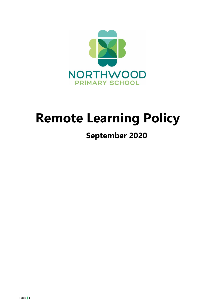

# **Remote Learning Policy**

## **September 2020**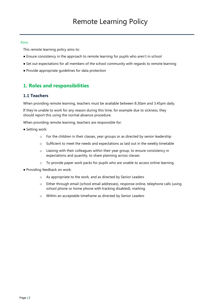#### Aims

This remote learning policy aims to:

- Ensure consistency in the approach to remote learning for pupils who aren't in school
- Set out expectations for all members of the school community with regards to remote learning
- Provide appropriate guidelines for data protection

## **1. Roles and responsibilities**

## **1.1 Teachers**

When providing remote learning, teachers must be available between 8.30am and 3.45pm daily.

If they're unable to work for any reason during this time, for example due to sickness, they should report this using the normal absence procedure.

When providing remote learning, teachers are responsible for:

- Setting work:
	- o For the children in their classes, year groups or as directed by senior leadership
	- o Sufficient to meet the needs and expectations as laid out in the weekly timetable
	- $\circ$  Liaising with their colleagues within their year group, to ensure consistency in expectations and quantity, to share planning across classes
	- o To provide paper work packs for pupils who are unable to access online learning
- Providing feedback on work:
	- o As appropriate to the work, and as directed by Senior Leaders
	- o Either through email (school email addresses), response online, telephone calls (using school phone or home phone with tracking disabled), marking
	- o Within an acceptable timeframe as directed by Senior Leaders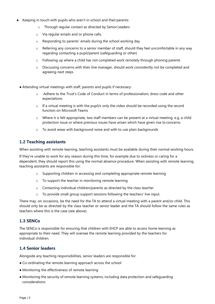- Keeping in touch with pupils who aren't in school and their parents:
	- o Through regular contact as directed by Senior Leaders
	- o Via regular emails and or phone calls,
	- o Responding to parents' emails during the school working day
	- $\circ$  Referring any concerns to a senior member of staff, should they feel uncomfortable in any way regarding contacting a pupil/parent (safeguarding or other)
	- $\circ$  Following up where a child has not completed work remotely through phoning parents
	- $\circ$  Discussing concerns with their line manager, should work consistently not be completed and agreeing next steps
	- Attending virtual meetings with staff, parents and pupils if necessary:
		- o Adhere to the Trust's Code of Conduct in terms of professionalism, dress code and other expectations
		- o If a virtual meeting is with the pupil/s only the video should be recorded using the record function on Microsoft Teams
		- o Where it is felt appropriate, two staff members can be present at a virtual meeting, e.g. a child protection issue or where previous issues have arisen which have given rise to concerns
		- o To avoid areas with background noise and with to use plain backgrounds

### **1.2 Teaching assistants**

When assisting with remote learning, teaching assistants must be available during their normal working hours.

If they're unable to work for any reason during this time, for example due to sickness or caring for a dependent, they should report this using the normal absence procedure. When assisting with remote learning, teaching assistants are responsible for:

- o Supporting children in accessing and completing appropriate remote learning
- o To support the teacher in monitoring remote learning
- o Contacting individual children/parents as directed by the class teacher
- o To provide small group support sessions following the teachers' live input.

There may, on occasions, be the need for the TA to attend a virtual meeting with a parent and/or child. This should only be as directed by the class teacher or senior leader and the TA should follow the same rules as teachers where this is the case (see above).

### **1.3 SENCo**

The SENCo is responsible for ensuring that children with EHCP are able to access home learning as appropriate to their need. They will oversee the remote learning provided by the teachers for individual children.

## **1.4 Senior leaders**

Alongside any teaching responsibilities, senior leaders are responsible for:

- Co-ordinating the remote learning approach across the school
- Monitoring the effectiveness of remote learning
- Monitoring the security of remote learning systems, including data protection and safeguarding considerations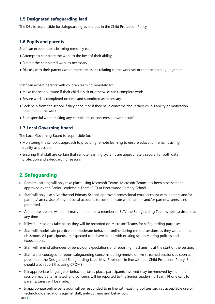## **1.5 Designated safeguarding lead**

The DSL is responsible for Safeguarding as laid out in the Child Protection Policy

## **1.6 Pupils and parents**

Staff can expect pupils learning remotely to:

- Attempt to complete the work to the best of their ability
- Submit the completed work as necessary
- Discuss with their parents when there are issues relating to the work set or remote learning in general

Staff can expect parents with children learning remotely to:

- Make the school aware if their child is sick or otherwise can't complete work
- Ensure work is completed on time and submitted as necessary
- Seek help from the school if they need it or if they have concerns about their child's ability or motivation to complete the work
- Be respectful when making any complaints or concerns known to staff

## **1.7 Local Governing board**

The Local Governing Board is responsible for:

- Monitoring the school's approach to providing remote learning to ensure education remains as high quality as possible
- Ensuring that staff are certain that remote learning systems are appropriately secure, for both data protection and safeguarding reasons

## **2. Safeguarding**

- Remote learning will only take place using Microsoft Teams. Microsoft Teams has been assessed and approved by the Senior Leadership Team (SLT) at Northwood Primary School.
- Staff will only use a Northwood Primary School, approved professional email account with learners and/or parents/carers. Use of any personal accounts to communicate with learners and/or parents/carers is not permitted.
- All remote lessons will be formally timetabled; a member of SLT/ the Safeguarding Team is able to drop in at any time
- If live 1-1 sessions take place, they will be recorded on Microsoft Teams for safeguarding purposes.
- Staff will model safe practice and moderate behaviour online during remote sessions as they would in the classroom. All participants are expected to behave in line with existing school/setting policies and expectations.
- Staff will remind attendees of behaviour expectations and reporting mechanisms at the start of the session.
- Staff are encouraged to report safeguarding concerns during remote or live streamed sessions as soon as possible to the Designated Safeguarding Lead, Miss Robinson, in line with our Child Protection Policy. Staff should also report this using CPOMS.
- If inappropriate language or behaviour takes place, participants involved may be removed by staff, the session may be terminated, and concerns will be reported to the Senior Leadership Team. Phone calls to parents/carers will be made.
- Inappropriate online behaviour will be responded to in line with existing policies such as acceptable use of technology, allegations against staff, anti-bullying and behaviour.

Page **|** 4